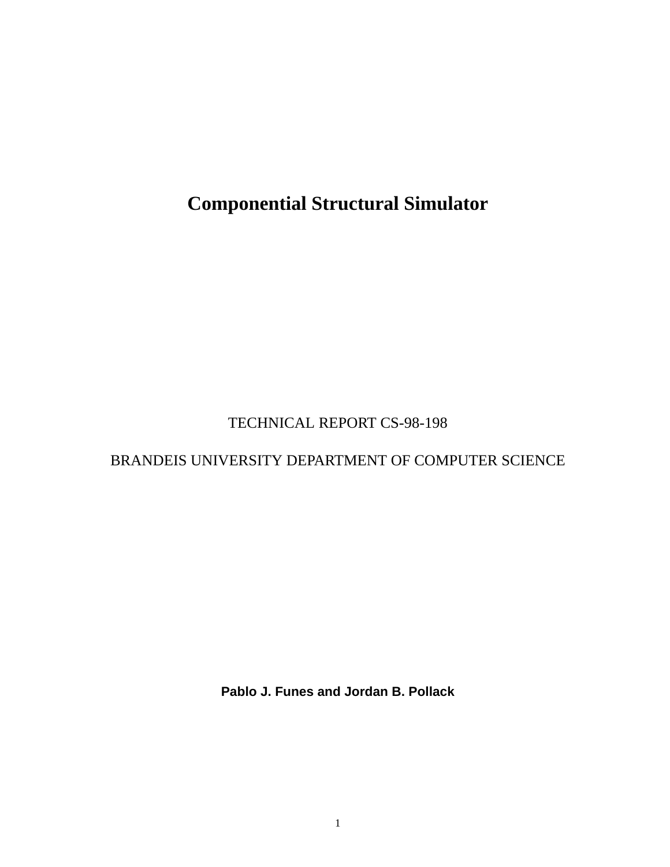**Componential Structural Simulator**

# TECHNICAL REPORT CS-98-198

## BRANDEIS UNIVERSITY DEPARTMENT OF COMPUTER SCIENCE

**Pablo J. Funes and Jordan B. Pollack**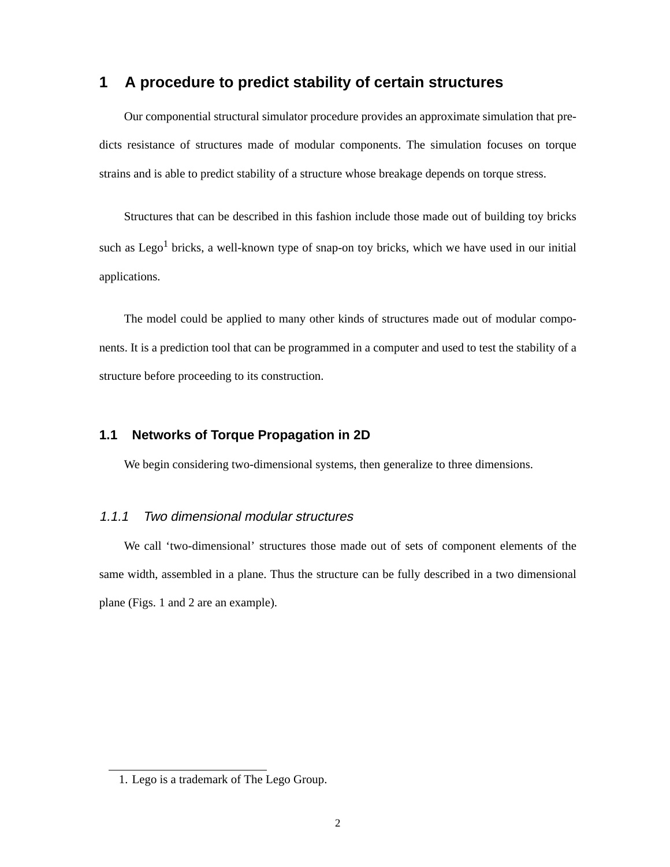## **1 A procedure to predict stability of certain structures**

Our componential structural simulator procedure provides an approximate simulation that predicts resistance of structures made of modular components. The simulation focuses on torque strains and is able to predict stability of a structure whose breakage depends on torque stress.

Structures that can be described in this fashion include those made out of building toy bricks such as Lego<sup>1</sup> bricks, a well-known type of snap-on toy bricks, which we have used in our initial applications.

The model could be applied to many other kinds of structures made out of modular components. It is a prediction tool that can be programmed in a computer and used to test the stability of a structure before proceeding to its construction.

### **1.1 Networks of Torque Propagation in 2D**

We begin considering two-dimensional systems, then generalize to three dimensions.

### 1.1.1 Two dimensional modular structures

We call 'two-dimensional' structures those made out of sets of component elements of the same width, assembled in a plane. Thus the structure can be fully described in a two dimensional plane (Figs. 1 and 2 are an example).

<sup>1.</sup> Lego is a trademark of The Lego Group.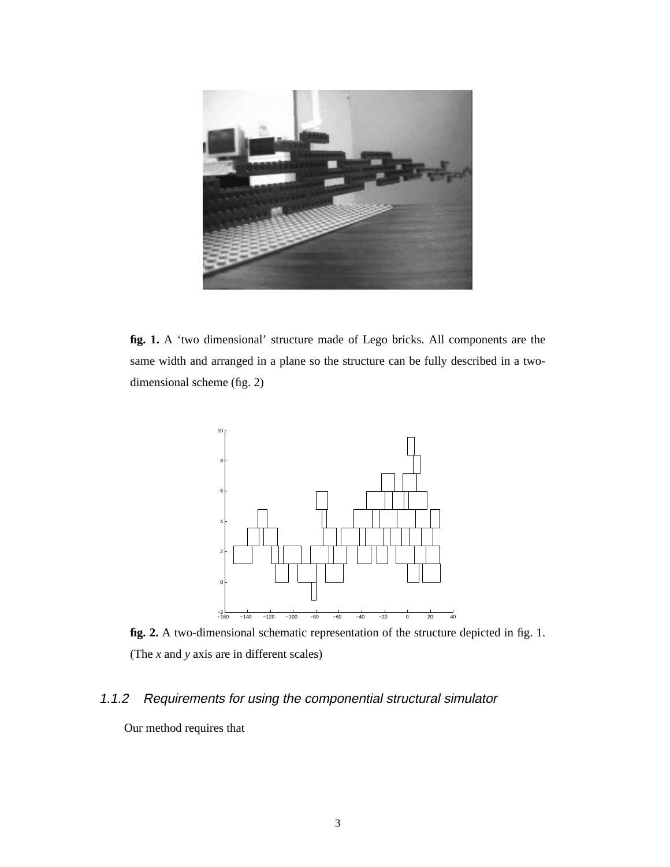

**fig. 1.** A 'two dimensional' structure made of Lego bricks. All components are the same width and arranged in a plane so the structure can be fully described in a twodimensional scheme (fig. 2)



**fig. 2.** A two-dimensional schematic representation of the structure depicted in fig. 1. (The *x* and *y* axis are in different scales)

## 1.1.2 Requirements for using the componential structural simulator

Our method requires that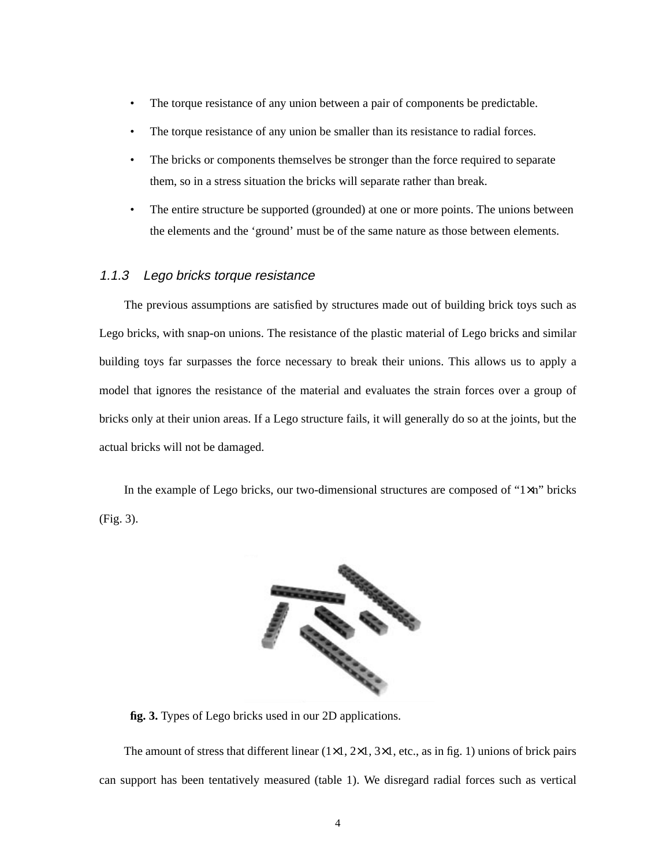- The torque resistance of any union between a pair of components be predictable.
- The torque resistance of any union be smaller than its resistance to radial forces.
- The bricks or components themselves be stronger than the force required to separate them, so in a stress situation the bricks will separate rather than break.
- The entire structure be supported (grounded) at one or more points. The unions between the elements and the 'ground' must be of the same nature as those between elements.

#### 1.1.3 Lego bricks torque resistance

The previous assumptions are satisfied by structures made out of building brick toys such as Lego bricks, with snap-on unions. The resistance of the plastic material of Lego bricks and similar building toys far surpasses the force necessary to break their unions. This allows us to apply a model that ignores the resistance of the material and evaluates the strain forces over a group of bricks only at their union areas. If a Lego structure fails, it will generally do so at the joints, but the actual bricks will not be damaged.

In the example of Lego bricks, our two-dimensional structures are composed of "1×n" bricks (Fig. 3).



**fig. 3.** Types of Lego bricks used in our 2D applications.

The amount of stress that different linear  $(1\times1, 2\times1, 3\times1,$  etc., as in fig. 1) unions of brick pairs can support has been tentatively measured (table 1). We disregard radial forces such as vertical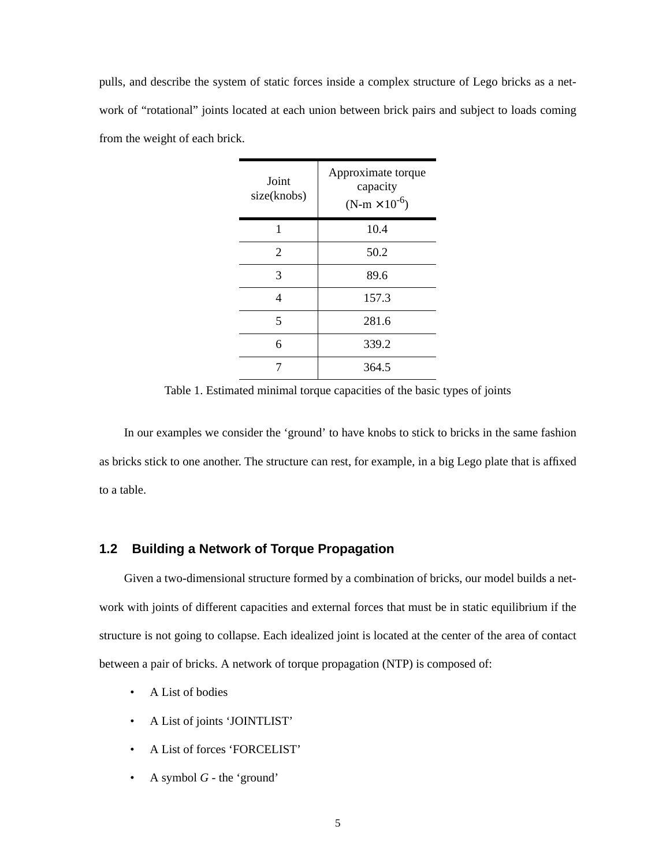pulls, and describe the system of static forces inside a complex structure of Lego bricks as a network of "rotational" joints located at each union between brick pairs and subject to loads coming from the weight of each brick.

| Joint<br>size(knobs) | Approximate torque<br>capacity<br>$(N-m \times 10^{-6})$ |
|----------------------|----------------------------------------------------------|
| 1                    | 10.4                                                     |
| 2                    | 50.2                                                     |
| 3                    | 89.6                                                     |
| 4                    | 157.3                                                    |
| 5                    | 281.6                                                    |
| 6                    | 339.2                                                    |
|                      | 364.5                                                    |

Table 1. Estimated minimal torque capacities of the basic types of joints

In our examples we consider the 'ground' to have knobs to stick to bricks in the same fashion as bricks stick to one another. The structure can rest, for example, in a big Lego plate that is affixed to a table.

#### **1.2 Building a Network of Torque Propagation**

Given a two-dimensional structure formed by a combination of bricks, our model builds a network with joints of different capacities and external forces that must be in static equilibrium if the structure is not going to collapse. Each idealized joint is located at the center of the area of contact between a pair of bricks. A network of torque propagation (NTP) is composed of:

- A List of bodies
- A List of joints 'JOINTLIST'
- A List of forces 'FORCELIST'
- A symbol *G* the 'ground'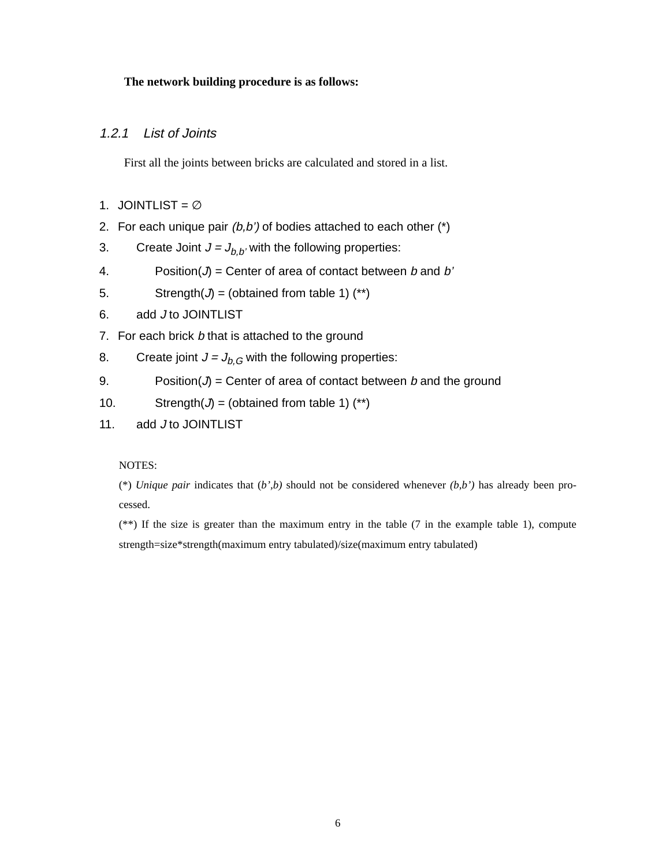#### **The network building procedure is as follows:**

#### 1.2.1 List of Joints

First all the joints between bricks are calculated and stored in a list.

- 1. JOINTLIST = ∅
- 2. For each unique pair  $(b,b')$  of bodies attached to each other  $(*)$

3. Create Joint  $J = J_{b,b'}$  with the following properties:

- 4. Position( $J$ ) = Center of area of contact between *b* and *b*'
- 5. Strength( $J$ ) = (obtained from table 1) (\*\*)
- 6. add J to JOINTLIST
- 7. For each brick b that is attached to the ground
- 8. Create joint  $J = J_{b,G}$  with the following properties:
- 9. Position( $J$ ) = Center of area of contact between *b* and the ground
- 10. Strength( $J$ ) = (obtained from table 1) (\*\*)
- 11. add J to JOINTLIST

NOTES:

(\*) *Unique pair* indicates that  $(b',b)$  should not be considered whenever  $(b,b')$  has already been processed.

(\*\*) If the size is greater than the maximum entry in the table (7 in the example table 1), compute strength=size\*strength(maximum entry tabulated)/size(maximum entry tabulated)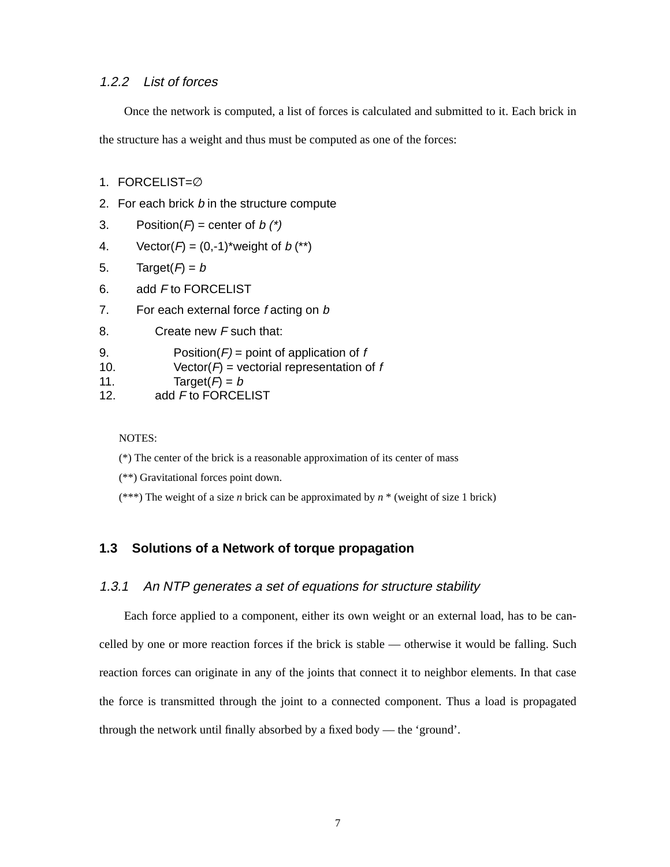#### 1.2.2 List of forces

Once the network is computed, a list of forces is calculated and submitted to it. Each brick in

the structure has a weight and thus must be computed as one of the forces:

- 1. FORCELIST=∅
- 2. For each brick b in the structure compute
- 3. Position( $F$ ) = center of b  $(*)$
- 4. Vector( $F = (0,-1)^*$ weight of  $b$  (\*\*)
- 5. Target( $F$ ) = b
- 6. add F to FORCELIST
- 7. For each external force  $f$  acting on  $b$
- 8. Create new F such that:

| 9.<br>Position( $F$ ) = point of application of f |
|---------------------------------------------------|
|---------------------------------------------------|

- 10. Vector( $F$ ) = vectorial representation of f
- 11. Target( $F$ ) = b
- 12. add F to FORCELIST

NOTES:

- (\*) The center of the brick is a reasonable approximation of its center of mass
- (\*\*) Gravitational forces point down.
- (\*\*\*) The weight of a size *n* brick can be approximated by *n* \* (weight of size 1 brick)

#### **1.3 Solutions of a Network of torque propagation**

#### 1.3.1 An NTP generates a set of equations for structure stability

Each force applied to a component, either its own weight or an external load, has to be cancelled by one or more reaction forces if the brick is stable — otherwise it would be falling. Such reaction forces can originate in any of the joints that connect it to neighbor elements. In that case the force is transmitted through the joint to a connected component. Thus a load is propagated through the network until finally absorbed by a fixed body — the 'ground'.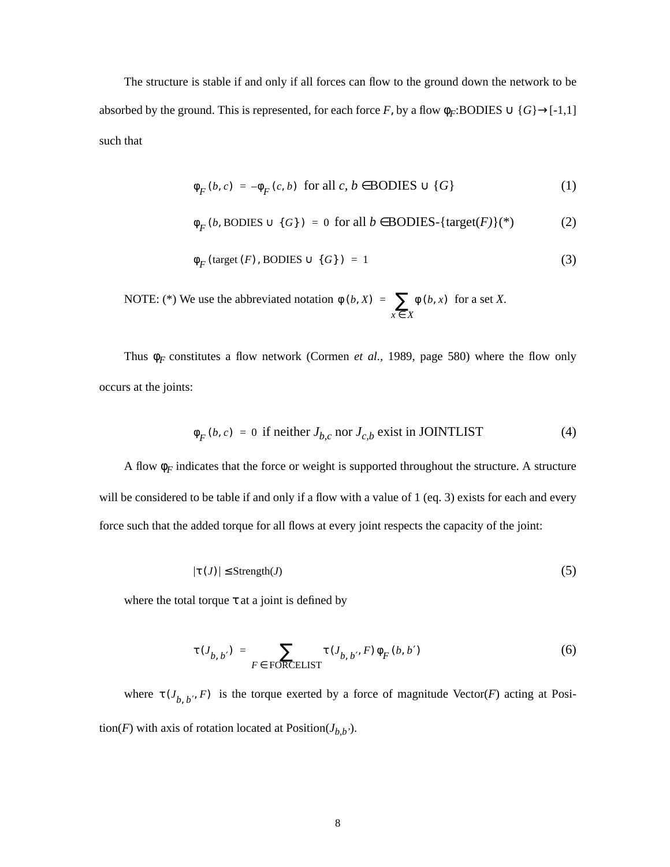The structure is stable if and only if all forces can flow to the ground down the network to be absorbed by the ground. This is represented, for each force *F*, by a flow  $\phi_F$ :BODIES  $\cup$  {*G*} $\rightarrow$ [-1,1] such that

$$
\phi_F(b, c) = -\phi_F(c, b) \text{ for all } c, b \in \text{BODIES} \cup \{G\} \tag{1}
$$

$$
\phi_F(b, \text{BODIES} \cup \{G\}) = 0 \text{ for all } b \in \text{BODIES-}\{\text{target}(F)\}(\text{*})
$$
 (2)

$$
\Phi_F(\text{target}(F), \text{BODIES} \cup \{G\}) = 1 \tag{3}
$$

NOTE: (\*) We use the abbreviated notation  $\phi(b, X) = \sum_{x} \phi(b, x)$  for a set *X*.  $=\sum_{x\in X}$ 

Thus  $\phi_F$  constitutes a flow network (Cormen *et al.*, 1989, page 580) where the flow only occurs at the joints:

$$
\phi_F(b, c) = 0 \text{ if neither } J_{b, c} \text{ nor } J_{c, b} \text{ exist in JOINTLIST} \tag{4}
$$

A flow  $\phi_F$  indicates that the force or weight is supported throughout the structure. A structure will be considered to be table if and only if a flow with a value of 1 (eq. 3) exists for each and every force such that the added torque for all flows at every joint respects the capacity of the joint:

$$
|\tau(J)| \leq \text{Strength}(J) \tag{5}
$$

where the total torque  $\tau$  at a joint is defined by

$$
\tau(J_{b,\;b'}) = \sum_{F \in \text{ FORCELLIST}} \tau(J_{b,\;b'}, F) \phi_F(b, b') \tag{6}
$$

where  $\tau(J_{b, b'}, F)$  is the torque exerted by a force of magnitude Vector(*F*) acting at Position(*F*) with axis of rotation located at Position( $J_{b,b'}$ ).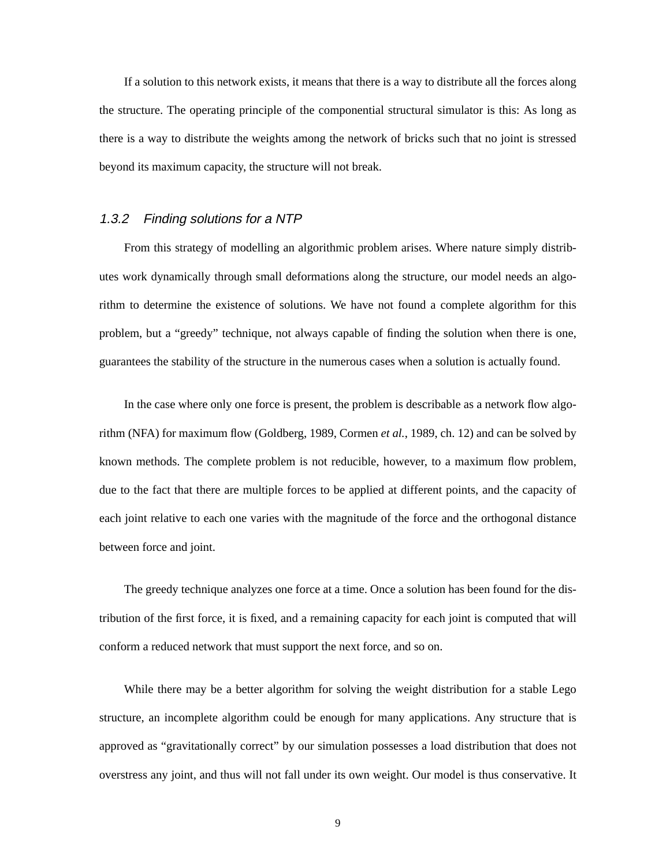If a solution to this network exists, it means that there is a way to distribute all the forces along the structure. The operating principle of the componential structural simulator is this: As long as there is a way to distribute the weights among the network of bricks such that no joint is stressed beyond its maximum capacity, the structure will not break.

#### 1.3.2 Finding solutions for a NTP

From this strategy of modelling an algorithmic problem arises. Where nature simply distributes work dynamically through small deformations along the structure, our model needs an algorithm to determine the existence of solutions. We have not found a complete algorithm for this problem, but a "greedy" technique, not always capable of finding the solution when there is one, guarantees the stability of the structure in the numerous cases when a solution is actually found.

In the case where only one force is present, the problem is describable as a network flow algorithm (NFA) for maximum flow (Goldberg, 1989, Cormen *et al.*, 1989, ch. 12) and can be solved by known methods. The complete problem is not reducible, however, to a maximum flow problem, due to the fact that there are multiple forces to be applied at different points, and the capacity of each joint relative to each one varies with the magnitude of the force and the orthogonal distance between force and joint.

The greedy technique analyzes one force at a time. Once a solution has been found for the distribution of the first force, it is fixed, and a remaining capacity for each joint is computed that will conform a reduced network that must support the next force, and so on.

While there may be a better algorithm for solving the weight distribution for a stable Lego structure, an incomplete algorithm could be enough for many applications. Any structure that is approved as "gravitationally correct" by our simulation possesses a load distribution that does not overstress any joint, and thus will not fall under its own weight. Our model is thus conservative. It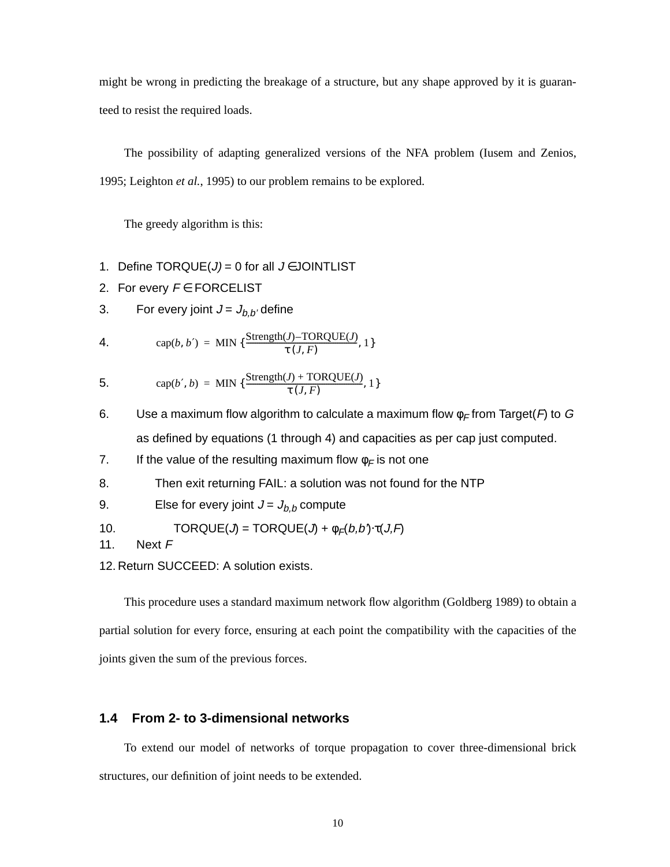might be wrong in predicting the breakage of a structure, but any shape approved by it is guaranteed to resist the required loads.

The possibility of adapting generalized versions of the NFA problem (Iusem and Zenios, 1995; Leighton *et al.*, 1995) to our problem remains to be explored.

The greedy algorithm is this:

1. Define  $TORQUE(J) = 0$  for all  $J \in JOINTLIST$ 

2. For every  $F \in FORCELLIST$ 

3. For every joint  $J = J_{b,b'}$  define

4. 
$$
\operatorname{cap}(b, b') = \operatorname{MIN} \{ \frac{\text{Strength}(J) - \text{TORQUE}(J)}{\tau (J, F)}, 1 \}
$$

5. 
$$
\text{cap}(b', b) = \text{MIN} \{ \frac{\text{Strength}(J) + \text{TORQUE}(J)}{\tau(J, F)}, 1 \}
$$

- 6. Use a maximum flow algorithm to calculate a maximum flow  $\phi_F$  from Target(F) to G as defined by equations (1 through 4) and capacities as per cap just computed.
- 7. If the value of the resulting maximum flow  $\phi_F$  is not one
- 8. Then exit returning FAIL: a solution was not found for the NTP
- 9. Else for every joint  $J = J_{b,b}$  compute

10. 
$$
TORQUE(J) = TORQUE(J) + \phi_F(b, b) \cdot \tau(J, F)
$$

11. Next F

12. Return SUCCEED: A solution exists.

This procedure uses a standard maximum network flow algorithm (Goldberg 1989) to obtain a partial solution for every force, ensuring at each point the compatibility with the capacities of the joints given the sum of the previous forces.

### **1.4 From 2- to 3-dimensional networks**

To extend our model of networks of torque propagation to cover three-dimensional brick structures, our definition of joint needs to be extended.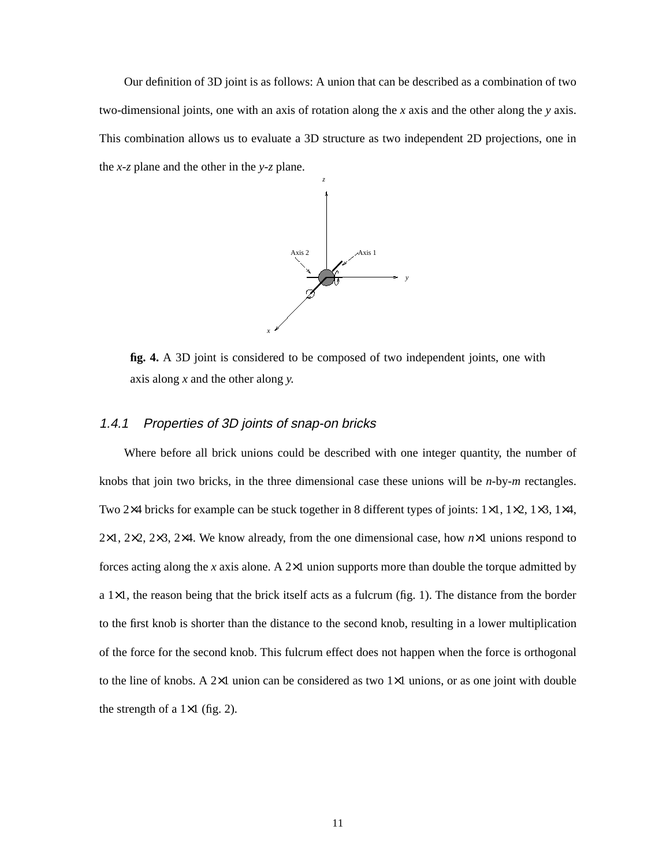Our definition of 3D joint is as follows: A union that can be described as a combination of two two-dimensional joints, one with an axis of rotation along the *x* axis and the other along the *y* axis. This combination allows us to evaluate a 3D structure as two independent 2D projections, one in the *x-z* plane and the other in the *y-z* plane.



**fig. 4.** A 3D joint is considered to be composed of two independent joints, one with axis along *x* and the other along *y.*

#### 1.4.1 Properties of 3D joints of snap-on bricks

Where before all brick unions could be described with one integer quantity, the number of knobs that join two bricks, in the three dimensional case these unions will be *n*-by-*m* rectangles. Two 2×4 bricks for example can be stuck together in 8 different types of joints: 1×1, 1×2, 1×3, 1×4, 2×1, 2×2, 2×3, 2×4. We know already, from the one dimensional case, how *n*×1 unions respond to forces acting along the *x* axis alone. A 2×1 union supports more than double the torque admitted by a  $1\times1$ , the reason being that the brick itself acts as a fulcrum (fig. 1). The distance from the border to the first knob is shorter than the distance to the second knob, resulting in a lower multiplication of the force for the second knob. This fulcrum effect does not happen when the force is orthogonal to the line of knobs. A 2×1 union can be considered as two 1×1 unions, or as one joint with double the strength of a  $1\times1$  (fig. 2).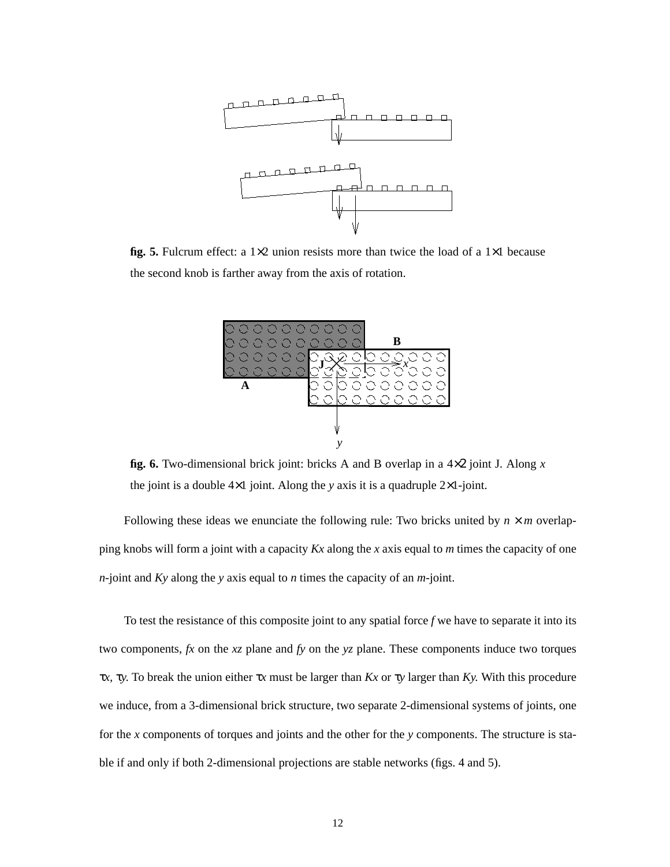

**fig. 5.** Fulcrum effect: a 1×2 union resists more than twice the load of a 1×1 because the second knob is farther away from the axis of rotation.



**fig. 6.** Two-dimensional brick joint: bricks A and B overlap in a 4×2 joint J. Along *x* the joint is a double 4×1 joint. Along the *y* axis it is a quadruple 2×1-joint.

Following these ideas we enunciate the following rule: Two bricks united by  $n \times m$  overlapping knobs will form a joint with a capacity *Kx* along the *x* axis equal to *m* times the capacity of one *n*-joint and *Ky* along the *y* axis equal to *n* times the capacity of an *m*-joint.

To test the resistance of this composite joint to any spatial force *f* we have to separate it into its two components, *fx* on the *xz* plane and *fy* on the *yz* plane. These components induce two torques τ*x,* τ*y*. To break the union either τ*x* must be larger than *Kx* or τ*y* larger than *Ky.* With this procedure we induce, from a 3-dimensional brick structure, two separate 2-dimensional systems of joints, one for the *x* components of torques and joints and the other for the *y* components. The structure is stable if and only if both 2-dimensional projections are stable networks (figs. 4 and 5).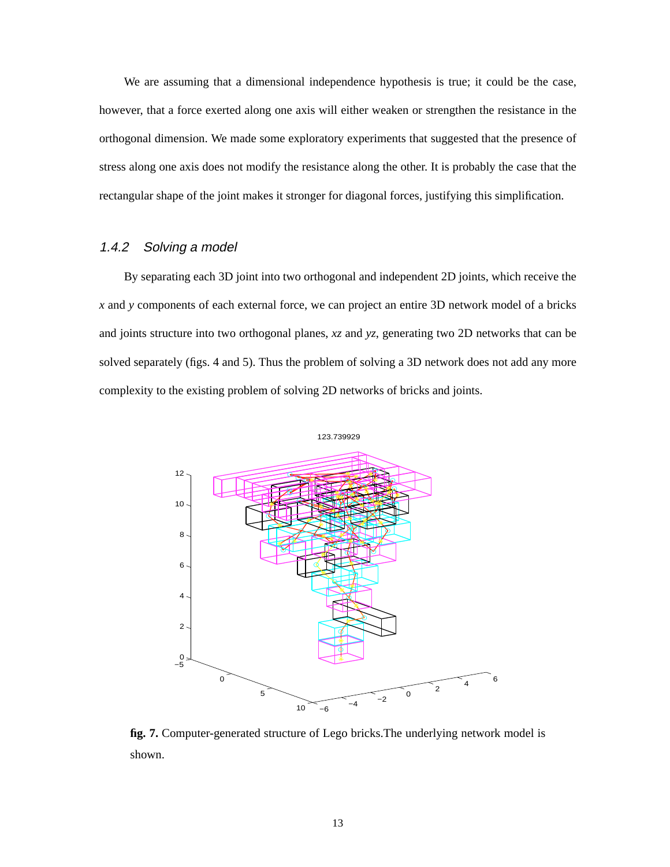We are assuming that a dimensional independence hypothesis is true; it could be the case, however, that a force exerted along one axis will either weaken or strengthen the resistance in the orthogonal dimension. We made some exploratory experiments that suggested that the presence of stress along one axis does not modify the resistance along the other. It is probably the case that the rectangular shape of the joint makes it stronger for diagonal forces, justifying this simplification.

#### 1.4.2 Solving a model

By separating each 3D joint into two orthogonal and independent 2D joints, which receive the *x* and *y* components of each external force, we can project an entire 3D network model of a bricks and joints structure into two orthogonal planes, *xz* and *yz*, generating two 2D networks that can be solved separately (figs. 4 and 5). Thus the problem of solving a 3D network does not add any more complexity to the existing problem of solving 2D networks of bricks and joints.



**fig. 7.** Computer-generated structure of Lego bricks.The underlying network model is shown.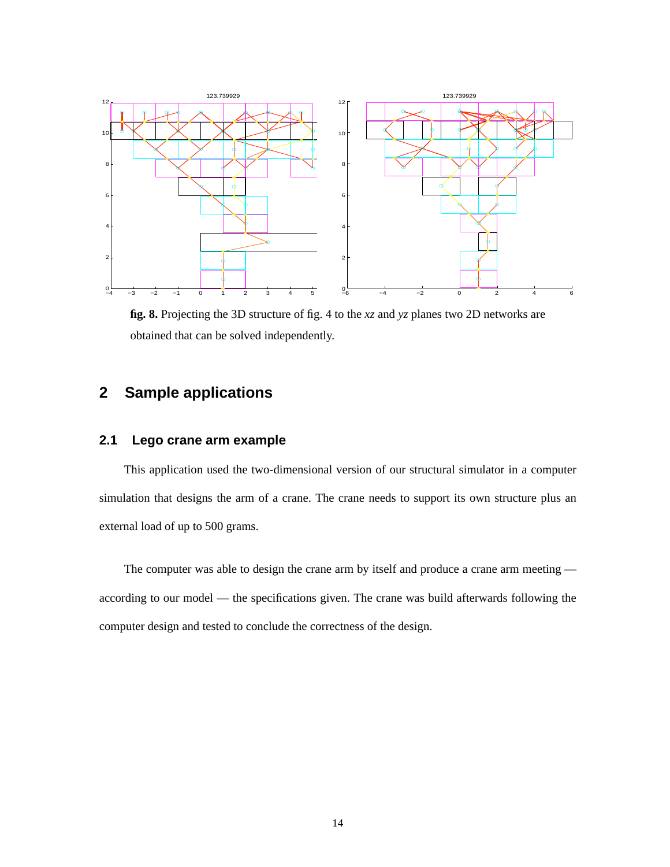

**fig. 8.** Projecting the 3D structure of fig. 4 to the *xz* and *yz* planes two 2D networks are obtained that can be solved independently.

# **2 Sample applications**

#### **2.1 Lego crane arm example**

This application used the two-dimensional version of our structural simulator in a computer simulation that designs the arm of a crane. The crane needs to support its own structure plus an external load of up to 500 grams.

The computer was able to design the crane arm by itself and produce a crane arm meeting according to our model — the specifications given. The crane was build afterwards following the computer design and tested to conclude the correctness of the design.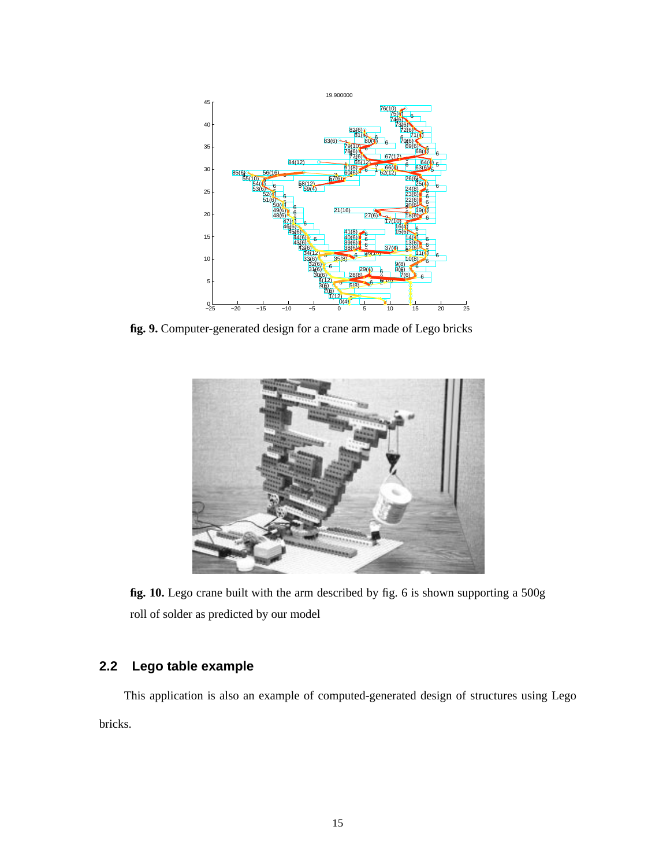

**fig. 9.** Computer-generated design for a crane arm made of Lego bricks



**fig. 10.** Lego crane built with the arm described by fig. 6 is shown supporting a 500g roll of solder as predicted by our model

## **2.2 Lego table example**

This application is also an example of computed-generated design of structures using Lego bricks.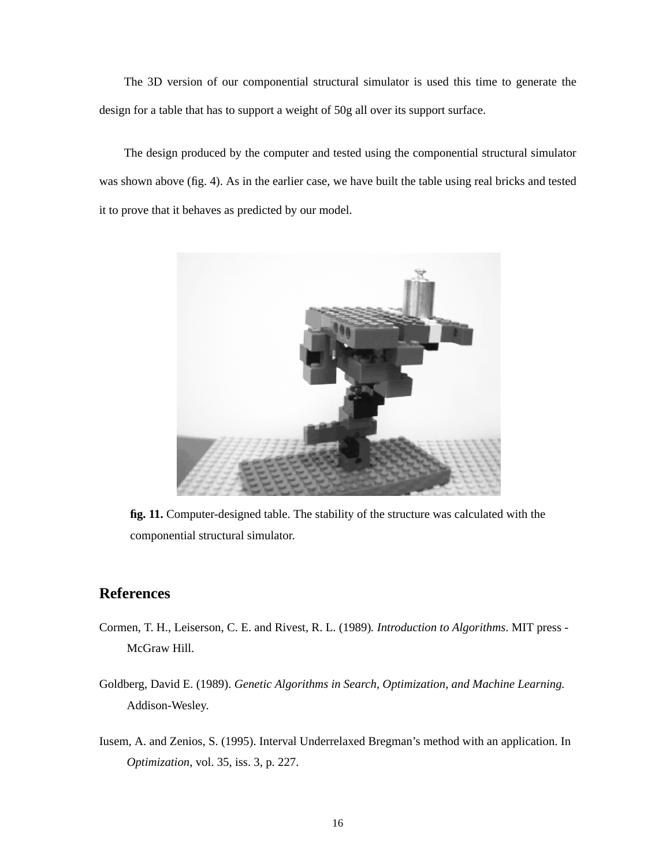The 3D version of our componential structural simulator is used this time to generate the design for a table that has to support a weight of 50g all over its support surface.

The design produced by the computer and tested using the componential structural simulator was shown above (fig. 4). As in the earlier case, we have built the table using real bricks and tested it to prove that it behaves as predicted by our model.



**fig. 11.** Computer-designed table. The stability of the structure was calculated with the componential structural simulator.

### **References**

- Cormen, T. H., Leiserson, C. E. and Rivest, R. L. (1989)*. Introduction to Algorithms*. MIT press McGraw Hill.
- Goldberg, David E. (1989). *Genetic Algorithms in Search, Optimization, and Machine Learning.* Addison-Wesley.
- Iusem, A. and Zenios, S. (1995). Interval Underrelaxed Bregman's method with an application. In *Optimization*, vol. 35, iss. 3, p. 227.